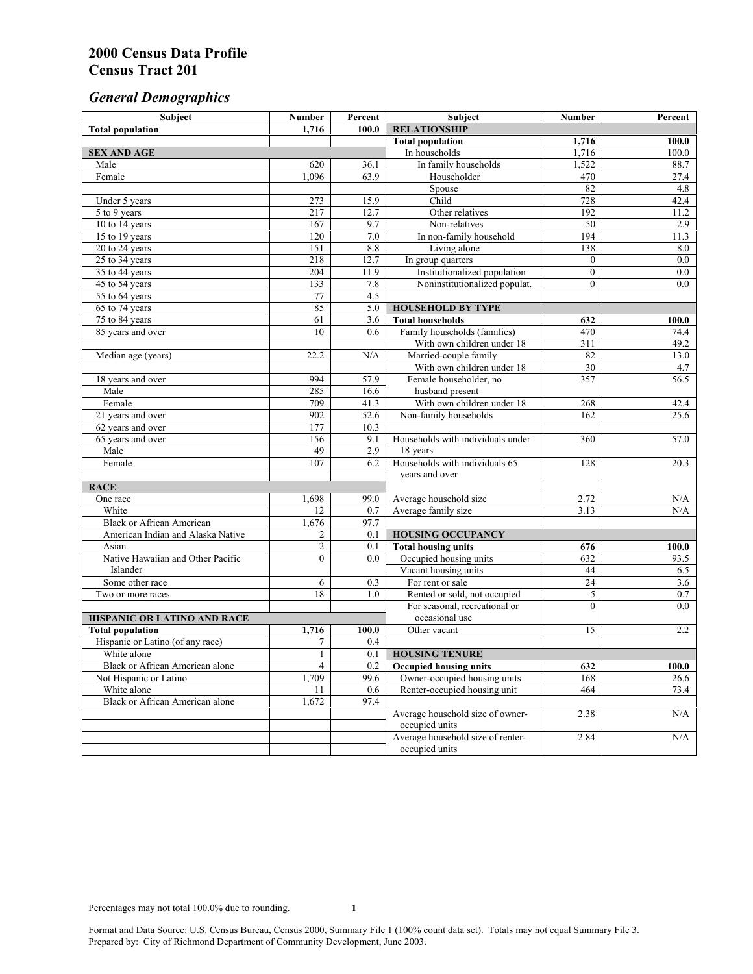# *General Demographics*

| Subject                           | <b>Number</b>         | Percent    | Subject                                                 | <b>Number</b>  | Percent       |
|-----------------------------------|-----------------------|------------|---------------------------------------------------------|----------------|---------------|
| <b>Total population</b>           | 1,716                 | 100.0      | <b>RELATIONSHIP</b>                                     |                |               |
|                                   |                       |            | <b>Total population</b>                                 | 1,716          | 100.0         |
| <b>SEX AND AGE</b>                |                       |            | In households                                           | 1,716          | 100.0         |
| Male                              | 620                   | 36.1       | In family households                                    | 1,522          | 88.7          |
| Female                            | 1.096                 | 63.9       | Householder                                             | 470            | 27.4          |
|                                   |                       |            | Spouse                                                  | 82             | 4.8           |
| Under 5 years                     | 273                   | 15.9       | Child                                                   | 728            | 42.4          |
| 5 to 9 years                      | 217                   | 12.7       | Other relatives                                         | 192            | 11.2          |
| 10 to 14 years                    | 167                   | 9.7        | Non-relatives                                           | 50             | 2.9           |
| 15 to 19 years                    | 120                   | 7.0        | In non-family household                                 | 194            | 11.3          |
| 20 to 24 years                    | 151                   | 8.8        | Living alone                                            | 138            | 8.0           |
| $25 \text{ to } 34$ years         | 218                   | 12.7       | In group quarters                                       | $\overline{0}$ | 0.0           |
| 35 to 44 years                    | 204                   | 11.9       | Institutionalized population                            | $\overline{0}$ | 0.0           |
| 45 to 54 years                    | 133                   | 7.8        | Noninstitutionalized populat.                           | $\overline{0}$ | 0.0           |
| 55 to 64 years                    | 77<br>85              | 4.5        |                                                         |                |               |
| 65 to 74 years                    |                       | 5.0        | <b>HOUSEHOLD BY TYPE</b>                                |                |               |
| 75 to 84 years                    | 61<br>$\overline{10}$ | 3.6<br>0.6 | <b>Total households</b><br>Family households (families) | 632<br>470     | 100.0<br>74.4 |
| 85 years and over                 |                       |            | With own children under 18                              | 311            | 49.2          |
|                                   | 22.2                  | N/A        | Married-couple family                                   | 82             | 13.0          |
| Median age (years)                |                       |            | With own children under 18                              | 30             | 4.7           |
|                                   | 994                   | 57.9       | Female householder, no                                  | 357            | 56.5          |
| 18 years and over<br>Male         | 285                   | 16.6       | husband present                                         |                |               |
| Female                            | 709                   | 41.3       | With own children under 18                              | 268            | 42.4          |
| 21 years and over                 | 902                   | 52.6       | Non-family households                                   | 162            | 25.6          |
| 62 years and over                 | 177                   | 10.3       |                                                         |                |               |
| 65 years and over                 | 156                   | 9.1        | Households with individuals under                       | 360            | 57.0          |
| Male                              | 49                    | 2.9        | 18 years                                                |                |               |
| Female                            | 107                   | 6.2        | Households with individuals 65                          | 128            | 20.3          |
|                                   |                       |            | years and over                                          |                |               |
| <b>RACE</b>                       |                       |            |                                                         |                |               |
| One race                          | 1,698                 | 99.0       | Average household size                                  | 2.72           | $\rm N/A$     |
| White                             | 12                    | 0.7        | Average family size                                     | 3.13           | N/A           |
| <b>Black or African American</b>  | 1,676                 | 97.7       |                                                         |                |               |
| American Indian and Alaska Native | 2                     | 0.1        | <b>HOUSING OCCUPANCY</b>                                |                |               |
| Asian                             | $\overline{c}$        | 0.1        | <b>Total housing units</b>                              | 676            | 100.0         |
| Native Hawaiian and Other Pacific | $\overline{0}$        | 0.0        | Occupied housing units                                  | 632            | 93.5          |
| Islander                          |                       |            | Vacant housing units                                    | 44             | 6.5           |
| Some other race                   | 6                     | 0.3        | For rent or sale                                        | 24             | 3.6           |
| Two or more races                 | $\overline{18}$       | 1.0        | Rented or sold, not occupied                            | 5              | $0.7\,$       |
|                                   |                       |            | For seasonal, recreational or                           | $\theta$       | 0.0           |
| HISPANIC OR LATINO AND RACE       |                       |            | occasional use                                          |                |               |
| <b>Total population</b>           | 1,716                 | 100.0      | Other vacant                                            | 15             | 2.2           |
| Hispanic or Latino (of any race)  | 7                     | 0.4        |                                                         |                |               |
| White alone                       | 1                     | 0.1        | <b>HOUSING TENURE</b>                                   |                |               |
| Black or African American alone   | 4                     | 0.2        | <b>Occupied housing units</b>                           | 632            | 100.0         |
| Not Hispanic or Latino            | 1,709                 | 99.6       | Owner-occupied housing units                            | 168            | 26.6          |
| White alone                       | 11                    | 0.6        | Renter-occupied housing unit                            | 464            | 73.4          |
| Black or African American alone   | 1,672                 | 97.4       |                                                         |                |               |
|                                   |                       |            | Average household size of owner-                        | 2.38           | N/A           |
|                                   |                       |            | occupied units                                          |                |               |
|                                   |                       |            | Average household size of renter-                       | 2.84           | N/A           |
|                                   |                       |            | occupied units                                          |                |               |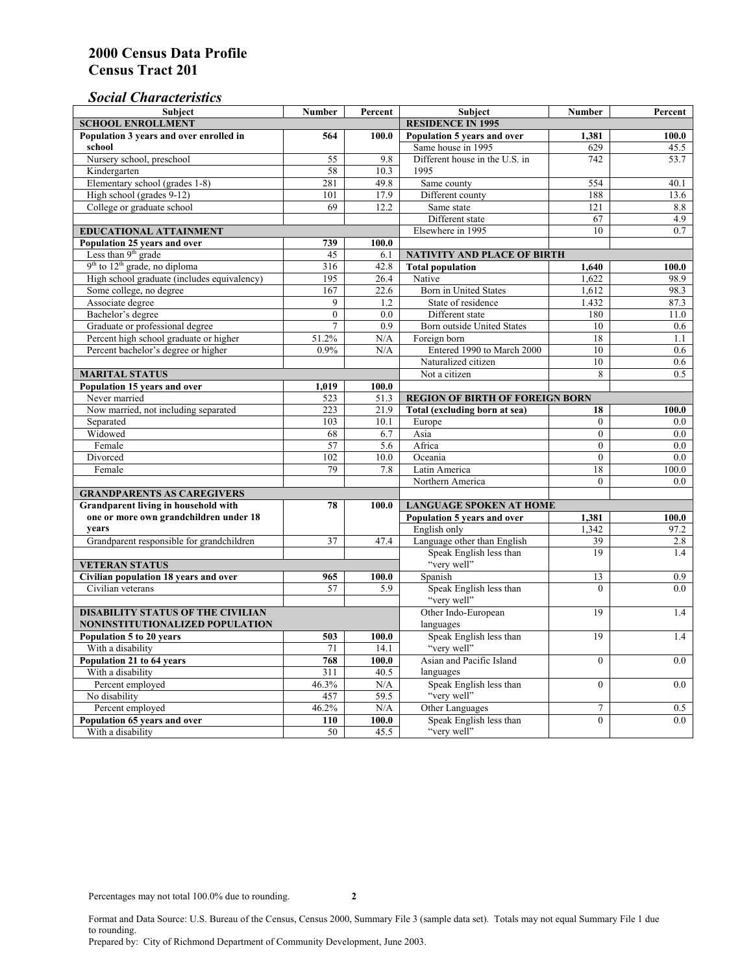# *Social Characteristics*

| <b>Subject</b>                              | <b>Number</b>            | Percent | <b>Subject</b>                         | <b>Number</b>  | Percent |
|---------------------------------------------|--------------------------|---------|----------------------------------------|----------------|---------|
| <b>SCHOOL ENROLLMENT</b>                    | <b>RESIDENCE IN 1995</b> |         |                                        |                |         |
| Population 3 years and over enrolled in     | 564                      | 100.0   | Population 5 years and over            | 1,381          | 100.0   |
| school                                      |                          |         | Same house in 1995                     | 629            | 45.5    |
| Nursery school, preschool                   | 55                       | 9.8     | Different house in the U.S. in         | 742            | 53.7    |
| Kindergarten                                | 58                       | 10.3    | 1995                                   |                |         |
| Elementary school (grades 1-8)              | 281                      | 49.8    | Same county                            | 554            | 40.1    |
| High school (grades 9-12)                   | 101                      | 17.9    | Different county                       | 188            | 13.6    |
| College or graduate school                  | 69                       | 12.2    | Same state                             | 121            | 8.8     |
|                                             |                          |         | Different state                        | 67             | 4.9     |
| <b>EDUCATIONAL ATTAINMENT</b>               |                          |         | Elsewhere in 1995                      | 10             | 0.7     |
| Population 25 years and over                | 739                      | 100.0   |                                        |                |         |
| Less than 9 <sup>th</sup> grade             | 45                       | 6.1     | NATIVITY AND PLACE OF BIRTH            |                |         |
| $9th$ to $12th$ grade, no diploma           | 316                      | 42.8    | <b>Total population</b>                | 1,640          | 100.0   |
| High school graduate (includes equivalency) | 195                      | 26.4    | Native                                 | 1.622          | 98.9    |
| Some college, no degree                     | 167                      | 22.6    | <b>Born</b> in United States           | 1,612          | 98.3    |
| Associate degree                            | 9                        | 1.2     | State of residence                     | 1.432          | 87.3    |
| Bachelor's degree                           | $\mathbf{0}$             | 0.0     | Different state                        | 180            | 11.0    |
| Graduate or professional degree             | $\overline{7}$           | 0.9     | Born outside United States             | 10             | 0.6     |
| Percent high school graduate or higher      | 51.2%                    | N/A     | Foreign born                           | 18             | 1.1     |
| Percent bachelor's degree or higher         | 0.9%                     | N/A     | Entered 1990 to March 2000             | 10             | 0.6     |
|                                             |                          |         | Naturalized citizen                    | 10             | 0.6     |
| <b>MARITAL STATUS</b>                       | Not a citizen            | 8       | 0.5                                    |                |         |
| Population 15 years and over                | 1,019                    | 100.0   |                                        |                |         |
| Never married                               | 523                      | 51.3    | <b>REGION OF BIRTH OF FOREIGN BORN</b> |                |         |
| Now married, not including separated        | 223                      | 21.9    | Total (excluding born at sea)          | 18             | 100.0   |
| Separated                                   | 103                      | 10.1    | Europe                                 | $\overline{0}$ | 0.0     |
| Widowed                                     | 68                       | 6.7     | Asia                                   | $\overline{0}$ | 0.0     |
| Female                                      | 57                       | 5.6     | Africa                                 | $\theta$       | 0.0     |
| Divorced                                    | 102                      | 10.0    | Oceania                                | $\theta$       | 0.0     |
| Female                                      | 79                       | 7.8     | Latin America                          | 18             | 100.0   |
|                                             |                          |         | Northern America                       | $\theta$       | 0.0     |
| <b>GRANDPARENTS AS CAREGIVERS</b>           |                          |         |                                        |                |         |
| Grandparent living in household with        | 78                       | 100.0   | <b>LANGUAGE SPOKEN AT HOME</b>         |                |         |
| one or more own grandchildren under 18      |                          |         | Population 5 years and over            | 1,381          | 100.0   |
| years                                       |                          |         | English only                           | 1,342          | 97.2    |
| Grandparent responsible for grandchildren   | 37                       | 47.4    | Language other than English            | 39             | 2.8     |
|                                             |                          |         | Speak English less than                | 19             | 1.4     |
| <b>VETERAN STATUS</b>                       |                          |         | "very well"                            |                |         |
| Civilian population 18 years and over       | 965                      | 100.0   | Spanish                                | 13             | 0.9     |
| Civilian veterans                           | 57                       | 5.9     | Speak English less than                | $\theta$       | 0.0     |
|                                             |                          |         | "very well"                            |                |         |
| <b>DISABILITY STATUS OF THE CIVILIAN</b>    | Other Indo-European      | 19      | 1.4                                    |                |         |
| NONINSTITUTIONALIZED POPULATION             | languages                |         |                                        |                |         |
| Population 5 to 20 years                    | 503                      | 100.0   | Speak English less than                | 19             | 1.4     |
| With a disability                           | 71                       | 14.1    | "very well"                            |                |         |
| Population 21 to 64 years                   | 768                      | 100.0   | Asian and Pacific Island               | $\theta$       | 0.0     |
| With a disability                           | $\overline{311}$         | 40.5    | languages                              |                |         |
| Percent employed                            | 46.3%                    | N/A     | Speak English less than                | $\mathbf{0}$   | 0.0     |
| No disability                               | 457                      | 59.5    | "very well"                            |                |         |
| Percent employed                            | 46.2%                    | N/A     | Other Languages                        | $\tau$         | 0.5     |
| Population 65 years and over                | 110                      | 100.0   | Speak English less than                | $\mathbf{0}$   | 0.0     |
| With a disability                           | 50                       | 45.5    | "very well"                            |                |         |

Format and Data Source: U.S. Bureau of the Census, Census 2000, Summary File 3 (sample data set). Totals may not equal Summary File 1 due to rounding.

Prepared by: City of Richmond Department of Community Development, June 2003.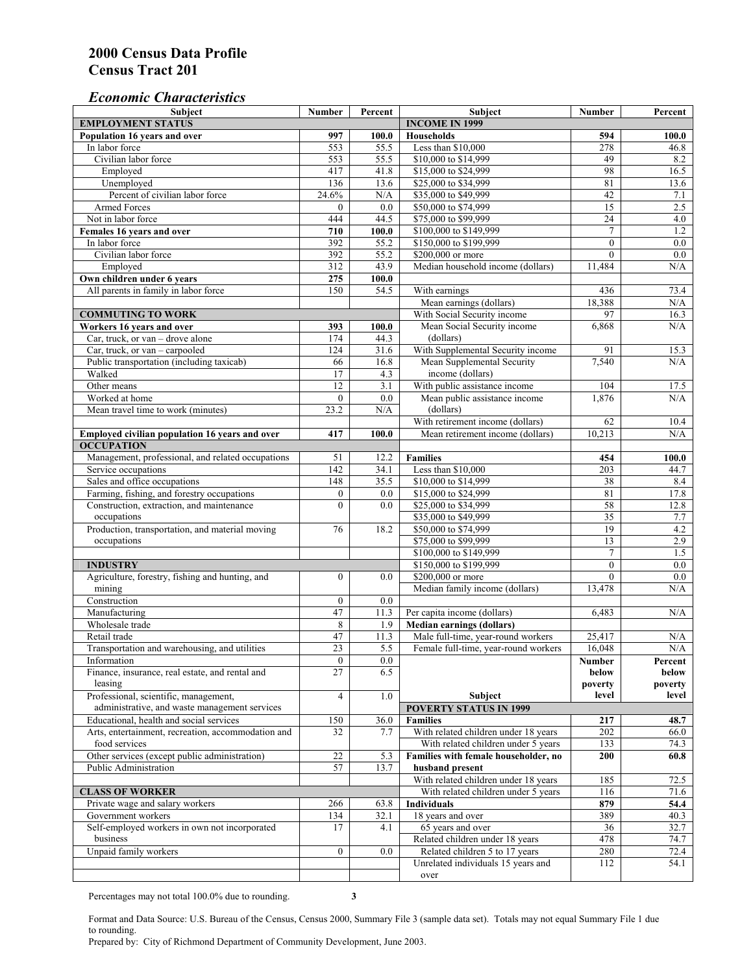#### *Economic Characteristics*

| Subject                                                                                | <b>Number</b>    | Percent     | Subject                                                                    | <b>Number</b>    | Percent          |
|----------------------------------------------------------------------------------------|------------------|-------------|----------------------------------------------------------------------------|------------------|------------------|
| <b>EMPLOYMENT STATUS</b>                                                               |                  |             | <b>INCOME IN 1999</b>                                                      |                  |                  |
| Population 16 years and over                                                           | 997              | 100.0       | <b>Households</b>                                                          | 594              | 100.0            |
| In labor force                                                                         | 553              | 55.5        | Less than \$10,000                                                         | 278              | 46.8             |
| Civilian labor force                                                                   | 553              | 55.5        | \$10,000 to \$14,999                                                       | 49               | 8.2              |
| Employed                                                                               | 417              | 41.8        | \$15,000 to \$24,999                                                       | 98               | 16.5             |
| Unemployed                                                                             | 136              | 13.6        | \$25,000 to \$34,999                                                       | 81               | 13.6             |
| Percent of civilian labor force                                                        | 24.6%            | N/A         | \$35,000 to \$49,999                                                       | 42               | 7.1              |
| <b>Armed Forces</b>                                                                    | $\mathbf{0}$     | 0.0         | \$50,000 to \$74,999                                                       | $\overline{15}$  | 2.5              |
| Not in labor force                                                                     | 444              | 44.5        | \$75,000 to \$99,999                                                       | 24               | 4.0              |
| Females 16 years and over                                                              | 710              | 100.0       | \$100,000 to \$149,999                                                     | $\tau$           | 1.2              |
| In labor force                                                                         | 392              | 55.2        | \$150,000 to \$199,999                                                     | $\mathbf{0}$     | 0.0              |
| Civilian labor force                                                                   | 392              | 55.2        | \$200,000 or more                                                          | $\mathbf{0}$     | 0.0              |
| Employed                                                                               | 312              | 43.9        | Median household income (dollars)                                          | 11,484           | N/A              |
| Own children under 6 years                                                             | 275              | 100.0       |                                                                            |                  |                  |
| All parents in family in labor force                                                   | 150              | 54.5        | With earnings                                                              | 436              | 73.4             |
|                                                                                        |                  |             | Mean earnings (dollars)                                                    | 18,388           | N/A              |
| <b>COMMUTING TO WORK</b>                                                               |                  |             | With Social Security income                                                | 97               | 16.3             |
| Workers 16 years and over                                                              | 393              | 100.0       | Mean Social Security income                                                | 6,868            | N/A              |
| Car, truck, or van - drove alone                                                       | 174              | 44.3        | (dollars)                                                                  |                  |                  |
| Car, truck, or $van - carpooled$                                                       | 124              | 31.6        | With Supplemental Security income                                          | 91               | 15.3             |
| Public transportation (including taxicab)                                              | 66               | 16.8        | Mean Supplemental Security                                                 | 7,540            | N/A              |
| Walked                                                                                 | 17               | 4.3         | income (dollars)                                                           |                  |                  |
| Other means                                                                            | 12               | 3.1         | With public assistance income                                              | 104              | 17.5             |
| Worked at home                                                                         | $\mathbf{0}$     | 0.0         | Mean public assistance income                                              | 1,876            | N/A              |
| Mean travel time to work (minutes)                                                     | 23.2             | N/A         | (dollars)                                                                  |                  |                  |
|                                                                                        |                  |             | With retirement income (dollars)                                           | 62               | 10.4             |
| Employed civilian population 16 years and over                                         | 417              | 100.0       | Mean retirement income (dollars)                                           | 10,213           | N/A              |
| <b>OCCUPATION</b>                                                                      |                  |             |                                                                            |                  |                  |
| Management, professional, and related occupations                                      | 51               | 12.2        | <b>Families</b>                                                            | 454              | 100.0            |
| Service occupations                                                                    | 142              | 34.1        | Less than \$10,000                                                         | 203              | 44.7             |
| Sales and office occupations                                                           | 148              | 35.5        | \$10,000 to \$14,999                                                       | 38               | 8.4              |
| Farming, fishing, and forestry occupations                                             | $\boldsymbol{0}$ | 0.0         | \$15,000 to \$24,999                                                       | 81               | 17.8             |
| Construction, extraction, and maintenance                                              | $\overline{0}$   | 0.0         | \$25,000 to \$34,999                                                       | 58               | 12.8             |
| occupations                                                                            |                  |             | \$35,000 to \$49,999                                                       | 35               | 7.7              |
| Production, transportation, and material moving                                        | 76               | 18.2        | \$50,000 to \$74,999                                                       | 19               | 4.2              |
| occupations                                                                            |                  |             | \$75,000 to \$99,999                                                       | 13               | 2.9              |
|                                                                                        |                  |             | \$100,000 to \$149,999                                                     | $\overline{7}$   | 1.5              |
| <b>INDUSTRY</b>                                                                        |                  |             | \$150,000 to \$199,999                                                     | $\mathbf{0}$     | 0.0              |
| Agriculture, forestry, fishing and hunting, and                                        | $\boldsymbol{0}$ | 0.0         | \$200,000 or more                                                          | $\mathbf{0}$     | 0.0              |
| mining                                                                                 |                  |             | Median family income (dollars)                                             | 13.478           | N/A              |
| Construction                                                                           | $\boldsymbol{0}$ | 0.0         |                                                                            |                  |                  |
| Manufacturing                                                                          | 47               | 11.3        | Per capita income (dollars)                                                | 6,483            | N/A              |
| Wholesale trade                                                                        | 8                |             |                                                                            |                  |                  |
| Retail trade                                                                           | 47               | 1.9<br>11.3 | <b>Median earnings (dollars)</b>                                           |                  |                  |
|                                                                                        | $\overline{23}$  | 5.5         | Male full-time, year-round workers<br>Female full-time, year-round workers | 25,417<br>16,048 | N/A<br>N/A       |
| Transportation and warehousing, and utilities                                          |                  |             |                                                                            |                  |                  |
| Information<br>Finance, insurance, real estate, and rental and                         | 0<br>27          | 0.0         |                                                                            | Number           | Percent          |
|                                                                                        |                  | 6.5         |                                                                            | below            | below            |
| leasing                                                                                | $\overline{4}$   |             | Subject                                                                    | poverty<br>level | poverty<br>level |
| Professional, scientific, management,<br>administrative, and waste management services |                  | 1.0         | <b>POVERTY STATUS IN 1999</b>                                              |                  |                  |
|                                                                                        |                  |             | <b>Families</b>                                                            |                  |                  |
| Educational, health and social services                                                | 150              | 36.0        |                                                                            | 217              | 48.7             |
| Arts, entertainment, recreation, accommodation and                                     | 32               | 7.7         | With related children under 18 years                                       | 202              | 66.0             |
| food services                                                                          |                  |             | With related children under 5 years                                        | 133              | 74.3             |
| Other services (except public administration)                                          | 22               | 5.3         | Families with female householder, no                                       | 200              | 60.8             |
| Public Administration                                                                  | 57               | 13.7        | husband present                                                            |                  |                  |
|                                                                                        |                  |             | With related children under 18 years                                       | 185              | 72.5             |
| <b>CLASS OF WORKER</b>                                                                 |                  |             | With related children under 5 years                                        | 116              | 71.6             |
| Private wage and salary workers                                                        | 266              | 63.8        | <b>Individuals</b>                                                         | 879              | 54.4             |
| Government workers                                                                     | 134              | 32.1        | 18 years and over                                                          | 389              | 40.3             |
| Self-employed workers in own not incorporated                                          | 17               | 4.1         | 65 years and over                                                          | 36               | 32.7             |
| business                                                                               |                  |             | Related children under 18 years                                            | 478              | 74.7             |
| Unpaid family workers                                                                  | $\overline{0}$   | 0.0         | Related children 5 to 17 years                                             | 280              | 72.4             |
|                                                                                        |                  |             | Unrelated individuals 15 years and                                         | 112              | 54.1             |
|                                                                                        |                  |             | over                                                                       |                  |                  |

Percentages may not total 100.0% due to rounding. **3** 

Format and Data Source: U.S. Bureau of the Census, Census 2000, Summary File 3 (sample data set). Totals may not equal Summary File 1 due to rounding.

Prepared by: City of Richmond Department of Community Development, June 2003.